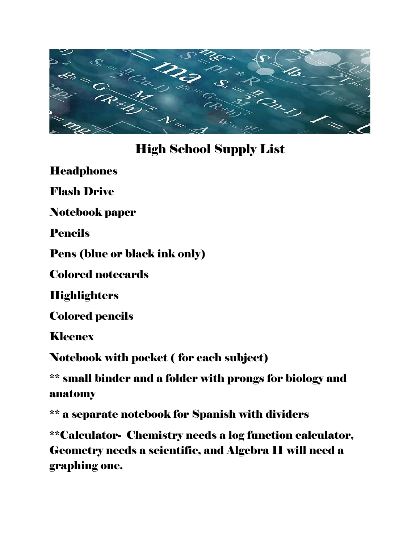

### High School Supply List

**Headphones** 

Flash Drive

Notebook paper

Pencils

Pens (blue or black ink only)

Colored notecards

**Highlighters** 

Colored pencils

Kleenex

Notebook with pocket ( for each subject)

\*\* small binder and a folder with prongs for biology and anatomy

\*\* a separate notebook for Spanish with dividers

\*\*Calculator- Chemistry needs a log function calculator, Geometry needs a scientific, and Algebra II will need a graphing one.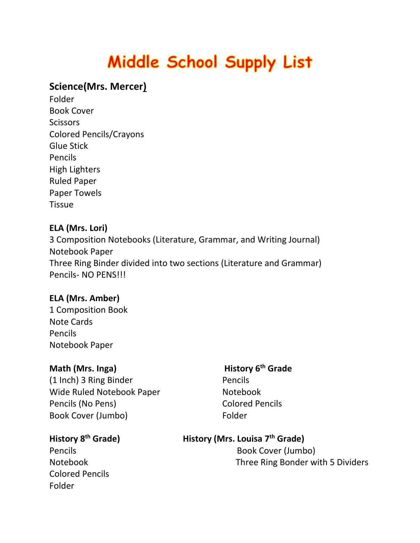# Middle School Supply List

#### **Science(Mrs. Mercer)**

Folder Book Cover **Scissors** Colored Pencils/Crayons Glue Stick Pencils High Lighters Ruled Paper Paper Towels **Tissue** 

#### **ELA (Mrs. Lori)**

3 Composition Notebooks (Literature, Grammar, and Writing Journal) Notebook Paper Three Ring Binder divided into two sections (Literature and Grammar) Pencils- NO PENS!!!

#### **ELA (Mrs. Amber)**

1 Composition Book Note Cards Pencils Notebook Paper

#### **Math (Mrs. Inga) History 6<sup>th</sup> Grade**

(1 Inch) 3 Ring Binder **Pencils** Wide Ruled Notebook Paper Notebook Pencils (No Pens) Colored Pencils Book Cover (Jumbo) Folder

#### **History 8**

Colored Pencils Folder

#### **th Grade) History (Mrs. Louisa 7th Grade)**

Pencils **Book Cover (Jumbo)** Notebook Three Ring Bonder with 5 Dividers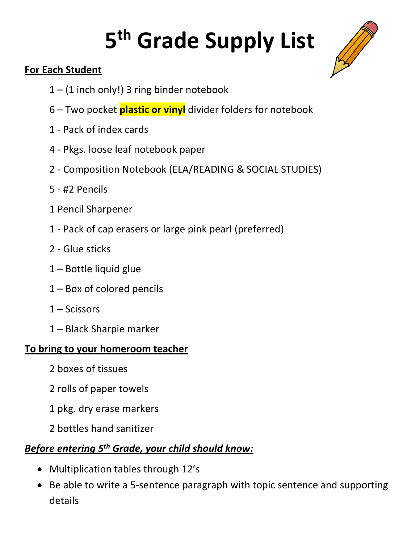# **5 th Grade Supply List**



#### **For Each Student**

- 1 (1 inch only!) 3 ring binder notebook
- 6 Two pocket **plastic or vinyl** divider folders for notebook
- 1 Pack of index cards
- 4 Pkgs. loose leaf notebook paper
- 2 Composition Notebook (ELA/READING & SOCIAL STUDIES)
- 5 #2 Pencils
- 1 Pencil Sharpener
- 1 Pack of cap erasers or large pink pearl (preferred)
- 2 Glue sticks
- 1 Bottle liquid glue
- 1 Box of colored pencils
- 1 Scissors
- 1 Black Sharpie marker

#### **To bring to your homeroom teacher**

- 2 boxes of tissues
- 2 rolls of paper towels
- 1 pkg. dry erase markers
- 2 bottles hand sanitizer

#### *Before entering 5th Grade, your child should know:*

- Multiplication tables through 12's
- Be able to write a 5-sentence paragraph with topic sentence and supporting details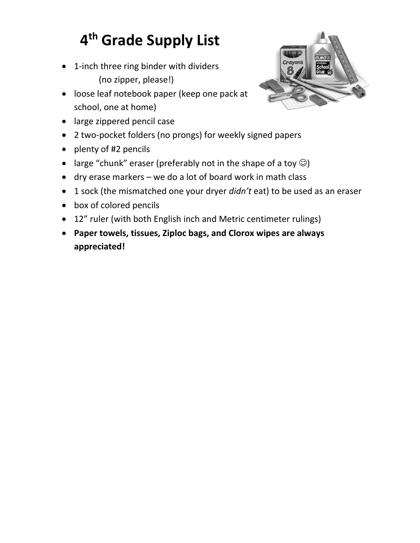# **4 th Grade Supply List**

- 1-inch three ring binder with dividers (no zipper, please!)
- loose leaf notebook paper (keep one pack at school, one at home)



- large zippered pencil case
- 2 two-pocket folders (no prongs) for weekly signed papers
- plenty of #2 pencils
- large "chunk" eraser (preferably not in the shape of a toy  $\circledcirc$ )
- dry erase markers we do a lot of board work in math class
- 1 sock (the mismatched one your dryer *didn't* eat) to be used as an eraser
- box of colored pencils
- 12" ruler (with both English inch and Metric centimeter rulings)
- **Paper towels, tissues, Ziploc bags, and Clorox wipes are always appreciated!**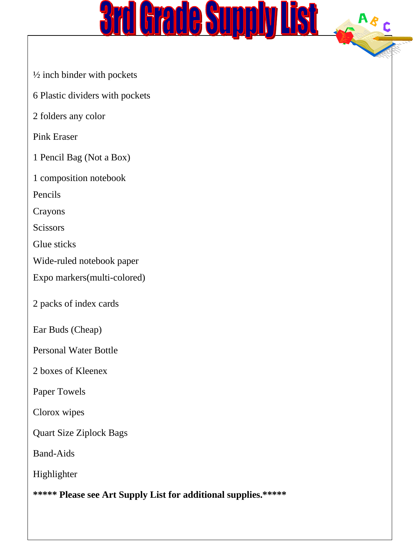

- ½ inch binder with pockets
- 6 Plastic dividers with pockets
- 2 folders any color

#### Pink Eraser

- 1 Pencil Bag (Not a Box)
- 1 composition notebook
- Pencils
- Crayons
- **Scissors**
- Glue sticks
- Wide-ruled notebook paper
- Expo markers(multi-colored)
- 2 packs of index cards
- Ear Buds (Cheap)
- Personal Water Bottle
- 2 boxes of Kleenex
- Paper Towels
- Clorox wipes
- Quart Size Ziplock Bags
- Band-Aids
- Highlighter
- **\*\*\*\*\* Please see Art Supply List for additional supplies.\*\*\*\*\***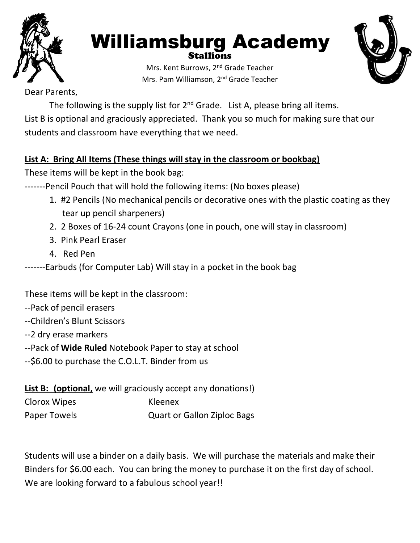

#### Williamsburg Academy Stallions



Mrs. Kent Burrows, 2<sup>nd</sup> Grade Teacher Mrs. Pam Williamson, 2nd Grade Teacher

Dear Parents,

The following is the supply list for  $2^{nd}$  Grade. List A, please bring all items. List B is optional and graciously appreciated. Thank you so much for making sure that our students and classroom have everything that we need.

#### **List A: Bring All Items (These things will stay in the classroom or bookbag)**

These items will be kept in the book bag:

-------Pencil Pouch that will hold the following items: (No boxes please)

- 1. #2 Pencils (No mechanical pencils or decorative ones with the plastic coating as they tear up pencil sharpeners)
- 2. 2 Boxes of 16-24 count Crayons (one in pouch, one will stay in classroom)
- 3. Pink Pearl Eraser
- 4. Red Pen

-------Earbuds (for Computer Lab) Will stay in a pocket in the book bag

These items will be kept in the classroom:

- --Pack of pencil erasers
- --Children's Blunt Scissors
- --2 dry erase markers
- --Pack of **Wide Ruled** Notebook Paper to stay at school
- --\$6.00 to purchase the C.O.L.T. Binder from us

List B: (optional, we will graciously accept any donations!)

| Clorox Wipes | Kleenex                            |
|--------------|------------------------------------|
| Paper Towels | <b>Quart or Gallon Ziploc Bags</b> |

Students will use a binder on a daily basis. We will purchase the materials and make their Binders for \$6.00 each. You can bring the money to purchase it on the first day of school. We are looking forward to a fabulous school year!!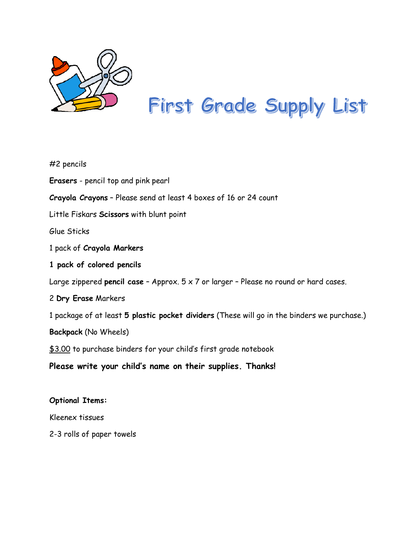

# First Grade Supply List

| $#2$ pencils                                                                                 |
|----------------------------------------------------------------------------------------------|
| <b>Erasers</b> - pencil top and pink pearl                                                   |
| Crayola Crayons - Please send at least 4 boxes of 16 or 24 count                             |
| Little Fiskars Scissors with blunt point                                                     |
| Glue Sticks                                                                                  |
| 1 pack of Crayola Markers                                                                    |
| 1 pack of colored pencils                                                                    |
| Large zippered pencil case - Approx. $5 \times 7$ or larger - Please no round or hard cases. |
| 2 Dry Erase Markers                                                                          |
| 1 package of at least 5 plastic pocket dividers (These will go in the binders we purchase.)  |
| Backpack (No Wheels)                                                                         |
| \$3.00 to purchase binders for your child's first grade notebook                             |
| Please write your child's name on their supplies. Thanks!                                    |
| <b>Optional Items:</b>                                                                       |

Kleenex tissues

2-3 rolls of paper towels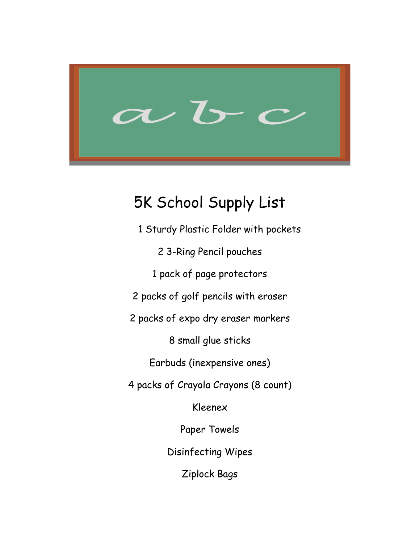

### 5K School Supply List

 1 Sturdy Plastic Folder with pockets 2 3-Ring Pencil pouches 1 pack of page protectors 2 packs of golf pencils with eraser 2 packs of expo dry eraser markers 8 small glue sticks Earbuds (inexpensive ones) 4 packs of Crayola Crayons (8 count) Kleenex Paper Towels Disinfecting Wipes

Ziplock Bags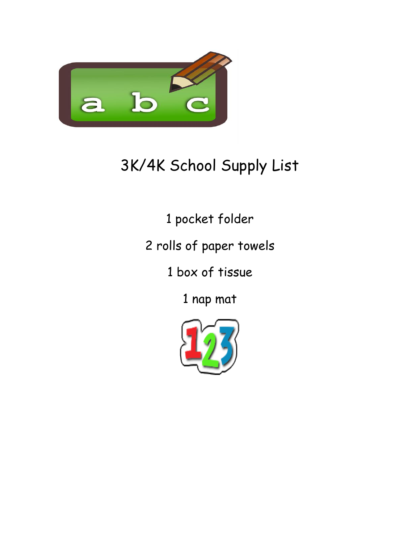

# 3K/4K School Supply List

1 pocket folder

2 rolls of paper towels

1 box of tissue

1 nap mat